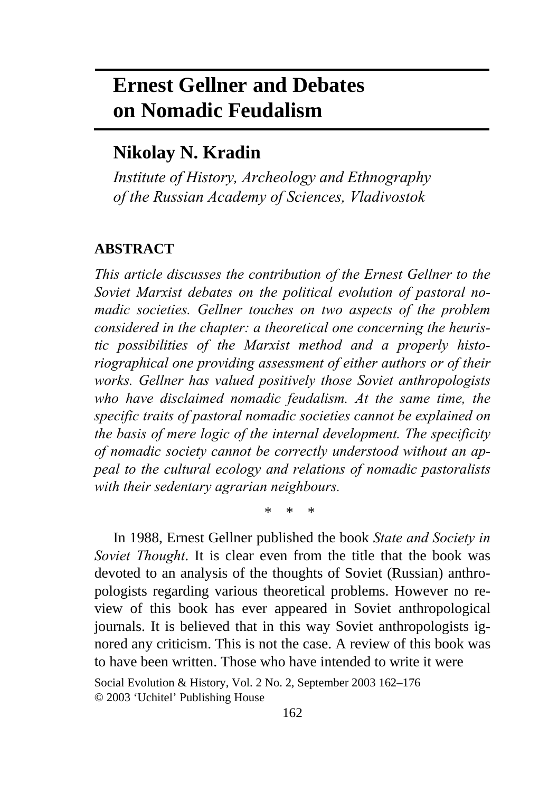# **Ernest Gellner and Debates on Nomadic Feudalism**

# **Nikolay N. Kradin**

*Institute of History, Archeology and Ethnography of the Russian Academy of Sciences, Vladivostok* 

## **ABSTRACT**

*This article discusses the contribution of the Ernest Gellner to the Soviet Marxist debates on the political evolution of pastoral nomadic societies. Gellner touches on two aspects of the problem considered in the chapter: a theoretical one concerning the heuristic possibilities of the Marxist method and a properly historiographical one providing assessment of either authors or of their works. Gellner has valued positively those Soviet anthropologists who have disclaimed nomadic feudalism. At the same time, the specific traits of pastoral nomadic societies cannot be explained on the basis of mere logic of the internal development. The specificity of nomadic society cannot be correctly understood without an appeal to the cultural ecology and relations of nomadic pastoralists with their sedentary agrarian neighbours.* 

\* \* \*

In 1988, Ernest Gellner published the book *State and Society in Soviet Thought*. It is clear even from the title that the book was devoted to an analysis of the thoughts of Soviet (Russian) anthropologists regarding various theoretical problems. However no review of this book has ever appeared in Soviet anthropological journals. It is believed that in this way Soviet anthropologists ignored any criticism. This is not the case. A review of this book was to have been written. Those who have intended to write it were

Social Evolution & History, Vol. 2 No. 2, September 2003 162–176 © 2003 'Uchitel' Publishing House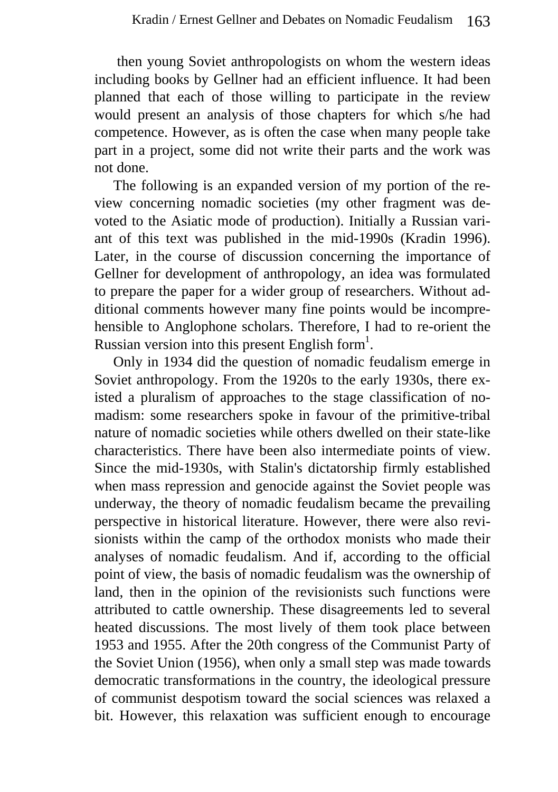then young Soviet anthropologists on whom the western ideas including books by Gellner had an efficient influence. It had been planned that each of those willing to participate in the review would present an analysis of those chapters for which s/he had competence. However, as is often the case when many people take part in a project, some did not write their parts and the work was not done.

The following is an expanded version of my portion of the review concerning nomadic societies (my other fragment was devoted to the Asiatic mode of production). Initially a Russian variant of this text was published in the mid-1990s (Kradin 1996). Later, in the course of discussion concerning the importance of Gellner for development of anthropology, an idea was formulated to prepare the paper for a wider group of researchers. Without additional comments however many fine points would be incomprehensible to Anglophone scholars. Therefore, I had to re-orient the Russian version into this present English form<sup>1</sup>.

Only in 1934 did the question of nomadic feudalism emerge in Soviet anthropology. From the 1920s to the early 1930s, there existed a pluralism of approaches to the stage classification of nomadism: some researchers spoke in favour of the primitive-tribal nature of nomadic societies while others dwelled on their state-like characteristics. There have been also intermediate points of view. Since the mid-1930s, with Stalin's dictatorship firmly established when mass repression and genocide against the Soviet people was underway, the theory of nomadic feudalism became the prevailing perspective in historical literature. However, there were also revisionists within the camp of the orthodox monists who made their analyses of nomadic feudalism. And if, according to the official point of view, the basis of nomadic feudalism was the ownership of land, then in the opinion of the revisionists such functions were attributed to cattle ownership. These disagreements led to several heated discussions. The most lively of them took place between 1953 and 1955. After the 20th congress of the Communist Party of the Soviet Union (1956), when only a small step was made towards democratic transformations in the country, the ideological pressure of communist despotism toward the social sciences was relaxed a bit. However, this relaxation was sufficient enough to encourage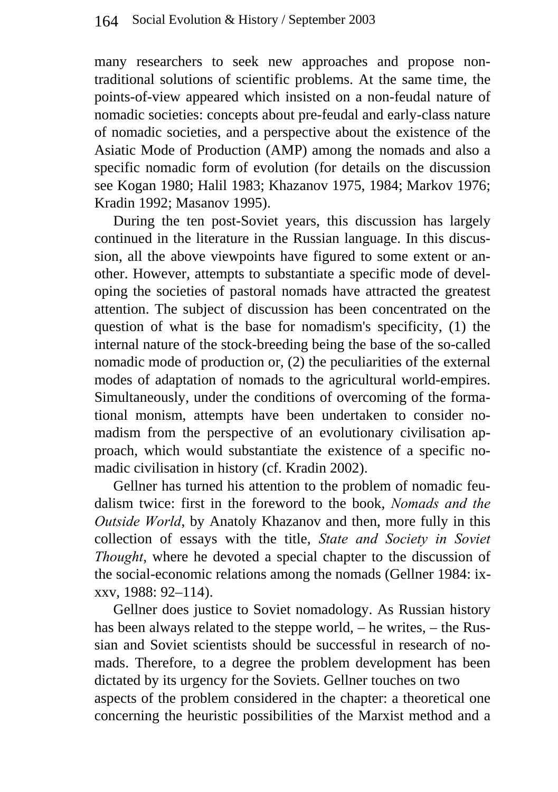many researchers to seek new approaches and propose nontraditional solutions of scientific problems. At the same time, the points-of-view appeared which insisted on a non-feudal nature of nomadic societies: concepts about pre-feudal and early-class nature of nomadic societies, and a perspective about the existence of the Asiatic Mode of Production (AMP) among the nomads and also a specific nomadic form of evolution (for details on the discussion see Kogan 1980; Halil 1983; Khazanov 1975, 1984; Markov 1976; Kradin 1992; Masanov 1995).

During the ten post-Soviet years, this discussion has largely continued in the literature in the Russian language. In this discussion, all the above viewpoints have figured to some extent or another. However, attempts to substantiate a specific mode of developing the societies of pastoral nomads have attracted the greatest attention. The subject of discussion has been concentrated on the question of what is the base for nomadism's specificity, (1) the internal nature of the stock-breeding being the base of the so-called nomadic mode of production or, (2) the peculiarities of the external modes of adaptation of nomads to the agricultural world-empires. Simultaneously, under the conditions of overcoming of the formational monism, attempts have been undertaken to consider nomadism from the perspective of an evolutionary civilisation approach, which would substantiate the existence of a specific nomadic civilisation in history (cf. Kradin 2002).

Gellner has turned his attention to the problem of nomadic feudalism twice: first in the foreword to the book, *Nomads and the Outside World*, by Anatoly Khazanov and then, more fully in this collection of essays with the title, *State and Society in Soviet Thought*, where he devoted a special chapter to the discussion of the social-economic relations among the nomads (Gellner 1984: ixxxv, 1988: 92–114).

Gellner does justice to Soviet nomadology. As Russian history has been always related to the steppe world, – he writes, – the Russian and Soviet scientists should be successful in research of nomads. Therefore, to a degree the problem development has been dictated by its urgency for the Soviets. Gellner touches on two aspects of the problem considered in the chapter: a theoretical one concerning the heuristic possibilities of the Marxist method and a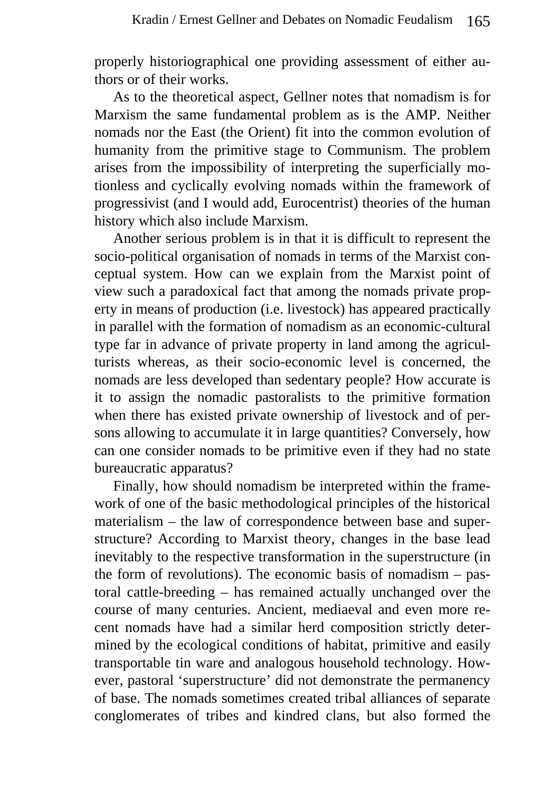properly historiographical one providing assessment of either authors or of their works.

As to the theoretical aspect, Gellner notes that nomadism is for Marxism the same fundamental problem as is the AMP. Neither nomads nor the East (the Orient) fit into the common evolution of humanity from the primitive stage to Communism. The problem arises from the impossibility of interpreting the superficially motionless and cyclically evolving nomads within the framework of progressivist (and I would add, Eurocentrist) theories of the human history which also include Marxism.

Another serious problem is in that it is difficult to represent the socio-political organisation of nomads in terms of the Marxist conceptual system. How can we explain from the Marxist point of view such a paradoxical fact that among the nomads private property in means of production (i.e. livestock) has appeared practically in parallel with the formation of nomadism as an economic-cultural type far in advance of private property in land among the agriculturists whereas, as their socio-economic level is concerned, the nomads are less developed than sedentary people? How accurate is it to assign the nomadic pastoralists to the primitive formation when there has existed private ownership of livestock and of persons allowing to accumulate it in large quantities? Conversely, how can one consider nomads to be primitive even if they had no state bureaucratic apparatus?

Finally, how should nomadism be interpreted within the framework of one of the basic methodological principles of the historical materialism – the law of correspondence between base and superstructure? According to Marxist theory, changes in the base lead inevitably to the respective transformation in the superstructure (in the form of revolutions). The economic basis of nomadism – pastoral cattle-breeding – has remained actually unchanged over the course of many centuries. Ancient, mediaeval and even more recent nomads have had a similar herd composition strictly determined by the ecological conditions of habitat, primitive and easily transportable tin ware and analogous household technology. However, pastoral 'superstructure' did not demonstrate the permanency of base. The nomads sometimes created tribal alliances of separate conglomerates of tribes and kindred clans, but also formed the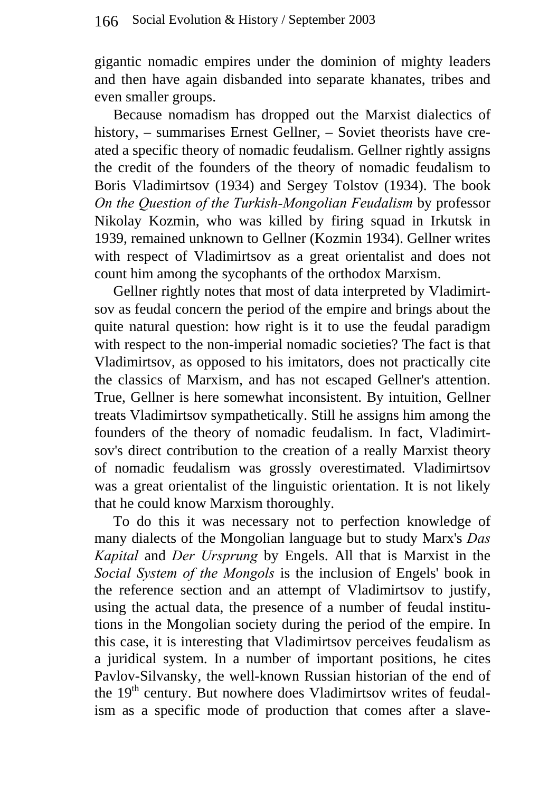gigantic nomadic empires under the dominion of mighty leaders and then have again disbanded into separate khanates, tribes and even smaller groups.

Because nomadism has dropped out the Marxist dialectics of history, – summarises Ernest Gellner, – Soviet theorists have created a specific theory of nomadic feudalism. Gellner rightly assigns the credit of the founders of the theory of nomadic feudalism to Boris Vladimirtsov (1934) and Sergey Tolstov (1934). The book *On the Question of the Turkish-Mongolian Feudalism* by professor Nikolay Kozmin, who was killed by firing squad in Irkutsk in 1939, remained unknown to Gellner (Kozmin 1934). Gellner writes with respect of Vladimirtsov as a great orientalist and does not count him among the sycophants of the orthodox Marxism.

Gellner rightly notes that most of data interpreted by Vladimirtsov as feudal concern the period of the empire and brings about the quite natural question: how right is it to use the feudal paradigm with respect to the non-imperial nomadic societies? The fact is that Vladimirtsov, as opposed to his imitators, does not practically cite the classics of Marxism, and has not escaped Gellner's attention. True, Gellner is here somewhat inconsistent. By intuition, Gellner treats Vladimirtsov sympathetically. Still he assigns him among the founders of the theory of nomadic feudalism. In fact, Vladimirtsov's direct contribution to the creation of a really Marxist theory of nomadic feudalism was grossly overestimated. Vladimirtsov was a great orientalist of the linguistic orientation. It is not likely that he could know Marxism thoroughly.

To do this it was necessary not to perfection knowledge of many dialects of the Mongolian language but to study Marx's *Das Kapital* and *Der Ursprung* by Engels. All that is Marxist in the *Social System of the Mongols* is the inclusion of Engels' book in the reference section and an attempt of Vladimirtsov to justify, using the actual data, the presence of a number of feudal institutions in the Mongolian society during the period of the empire. In this case, it is interesting that Vladimirtsov perceives feudalism as a juridical system. In a number of important positions, he cites Pavlov-Silvansky, the well-known Russian historian of the end of the 19<sup>th</sup> century. But nowhere does Vladimirtsov writes of feudalism as a specific mode of production that comes after a slave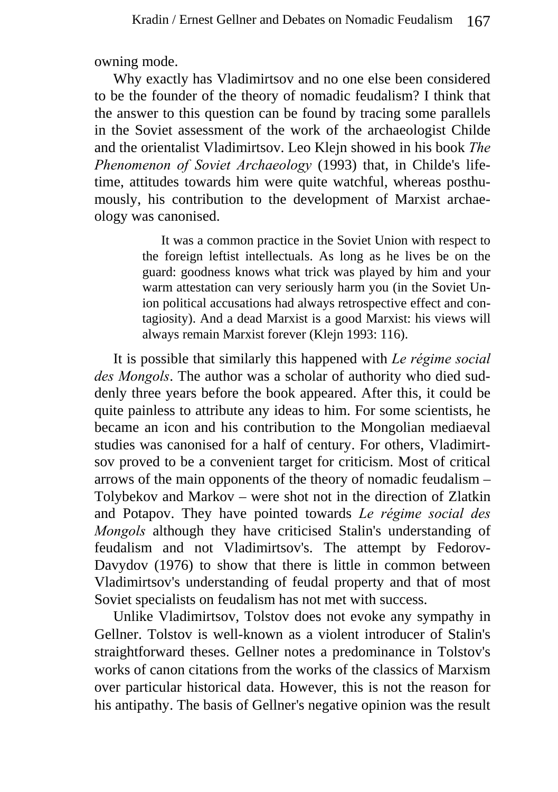owning mode.

Why exactly has Vladimirtsov and no one else been considered to be the founder of the theory of nomadic feudalism? I think that the answer to this question can be found by tracing some parallels in the Soviet assessment of the work of the archaeologist Childe and the orientalist Vladimirtsov. Leo Klejn showed in his book *The Phenomenon of Soviet Archaeology* (1993) that, in Childe's lifetime, attitudes towards him were quite watchful, whereas posthumously, his contribution to the development of Marxist archaeology was canonised.

> It was a common practice in the Soviet Union with respect to the foreign leftist intellectuals. As long as he lives be on the guard: goodness knows what trick was played by him and your warm attestation can very seriously harm you (in the Soviet Union political accusations had always retrospective effect and contagiosity). And a dead Marxist is a good Marxist: his views will always remain Marxist forever (Klejn 1993: 116).

It is possible that similarly this happened with *Le régime social des Mongols*. The author was a scholar of authority who died suddenly three years before the book appeared. After this, it could be quite painless to attribute any ideas to him. For some scientists, he became an icon and his contribution to the Mongolian mediaeval studies was canonised for a half of century. For others, Vladimirtsov proved to be a convenient target for criticism. Most of critical arrows of the main opponents of the theory of nomadic feudalism – Tolybekov and Markov – were shot not in the direction of Zlatkin and Potapov. They have pointed towards *Le régime social des Mongols* although they have criticised Stalin's understanding of feudalism and not Vladimirtsov's. The attempt by Fedorov-Davydov (1976) to show that there is little in common between Vladimirtsov's understanding of feudal property and that of most Soviet specialists on feudalism has not met with success.

Unlike Vladimirtsov, Tolstov does not evoke any sympathy in Gellner. Tolstov is well-known as a violent introducer of Stalin's straightforward theses. Gellner notes a predominance in Tolstov's works of canon citations from the works of the classics of Marxism over particular historical data. However, this is not the reason for his antipathy. The basis of Gellner's negative opinion was the result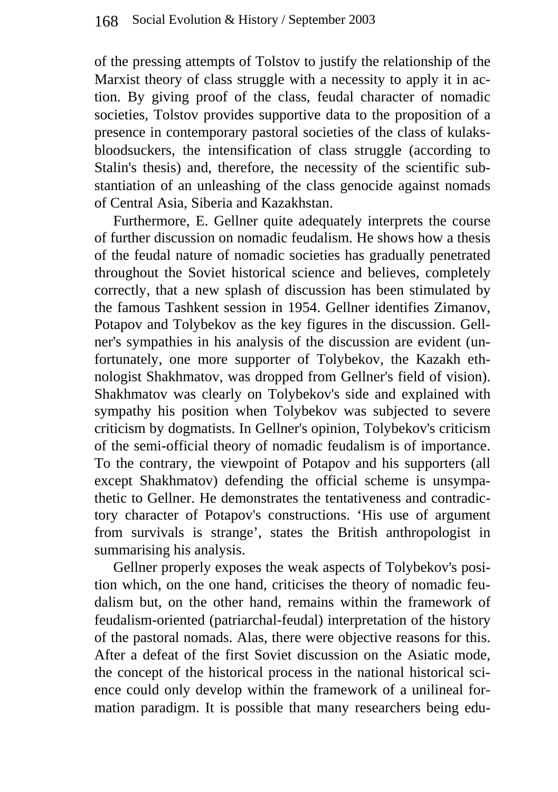of the pressing attempts of Tolstov to justify the relationship of the Marxist theory of class struggle with a necessity to apply it in action. By giving proof of the class, feudal character of nomadic societies, Tolstov provides supportive data to the proposition of a presence in contemporary pastoral societies of the class of kulaksbloodsuckers, the intensification of class struggle (according to Stalin's thesis) and, therefore, the necessity of the scientific substantiation of an unleashing of the class genocide against nomads of Central Asia, Siberia and Kazakhstan.

Furthermore, E. Gellner quite adequately interprets the course of further discussion on nomadic feudalism. He shows how a thesis of the feudal nature of nomadic societies has gradually penetrated throughout the Soviet historical science and believes, completely correctly, that a new splash of discussion has been stimulated by the famous Tashkent session in 1954. Gellner identifies Zimanov, Potapov and Tolybekov as the key figures in the discussion. Gellner's sympathies in his analysis of the discussion are evident (unfortunately, one more supporter of Tolybekov, the Kazakh ethnologist Shakhmatov, was dropped from Gellner's field of vision). Shakhmatov was clearly on Tolybekov's side and explained with sympathy his position when Tolybekov was subjected to severe criticism by dogmatists. In Gellner's opinion, Tolybekov's criticism of the semi-official theory of nomadic feudalism is of importance. To the contrary, the viewpoint of Potapov and his supporters (all except Shakhmatov) defending the official scheme is unsympathetic to Gellner. He demonstrates the tentativeness and contradictory character of Potapov's constructions. 'His use of argument from survivals is strange', states the British anthropologist in summarising his analysis.

Gellner properly exposes the weak aspects of Tolybekov's position which, on the one hand, criticises the theory of nomadic feudalism but, on the other hand, remains within the framework of feudalism-oriented (patriarchal-feudal) interpretation of the history of the pastoral nomads. Alas, there were objective reasons for this. After a defeat of the first Soviet discussion on the Asiatic mode, the concept of the historical process in the national historical science could only develop within the framework of a unilineal formation paradigm. It is possible that many researchers being edu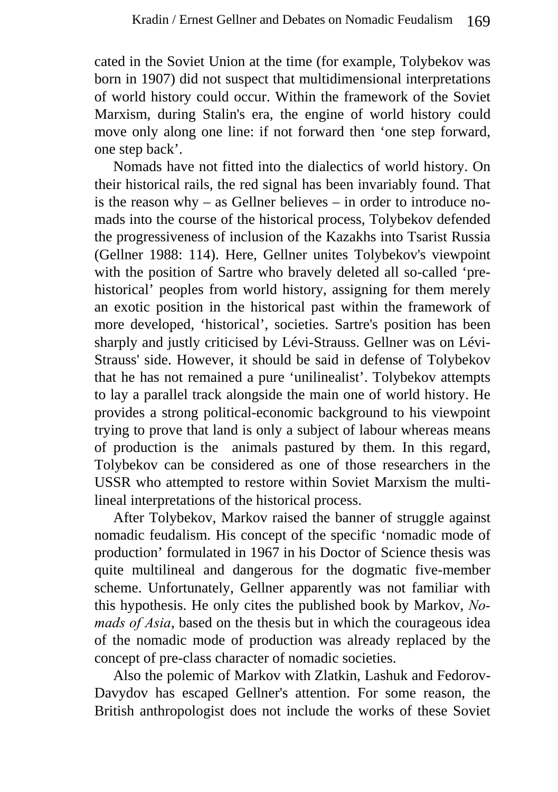cated in the Soviet Union at the time (for example, Tolybekov was born in 1907) did not suspect that multidimensional interpretations of world history could occur. Within the framework of the Soviet Marxism, during Stalin's era, the engine of world history could move only along one line: if not forward then 'one step forward, one step back'.

Nomads have not fitted into the dialectics of world history. On their historical rails, the red signal has been invariably found. That is the reason why – as Gellner believes – in order to introduce nomads into the course of the historical process, Tolybekov defended the progressiveness of inclusion of the Kazakhs into Tsarist Russia (Gellner 1988: 114). Here, Gellner unites Tolybekov's viewpoint with the position of Sartre who bravely deleted all so-called 'prehistorical' peoples from world history, assigning for them merely an exotic position in the historical past within the framework of more developed, 'historical', societies. Sartre's position has been sharply and justly criticised by Lévi-Strauss. Gellner was on Lévi-Strauss' side. However, it should be said in defense of Tolybekov that he has not remained a pure 'unilinealist'. Tolybekov attempts to lay a parallel track alongside the main one of world history. He provides a strong political-economic background to his viewpoint trying to prove that land is only a subject of labour whereas means of production is the animals pastured by them. In this regard, Tolybekov can be considered as one of those researchers in the USSR who attempted to restore within Soviet Marxism the multilineal interpretations of the historical process.

After Tolybekov, Markov raised the banner of struggle against nomadic feudalism. His concept of the specific 'nomadic mode of production' formulated in 1967 in his Doctor of Science thesis was quite multilineal and dangerous for the dogmatic five-member scheme. Unfortunately, Gellner apparently was not familiar with this hypothesis. He only cites the published book by Markov, *Nomads of Asia*, based on the thesis but in which the courageous idea of the nomadic mode of production was already replaced by the concept of pre-class character of nomadic societies.

Also the polemic of Markov with Zlatkin, Lashuk and Fedorov-Davydov has escaped Gellner's attention. For some reason, the British anthropologist does not include the works of these Soviet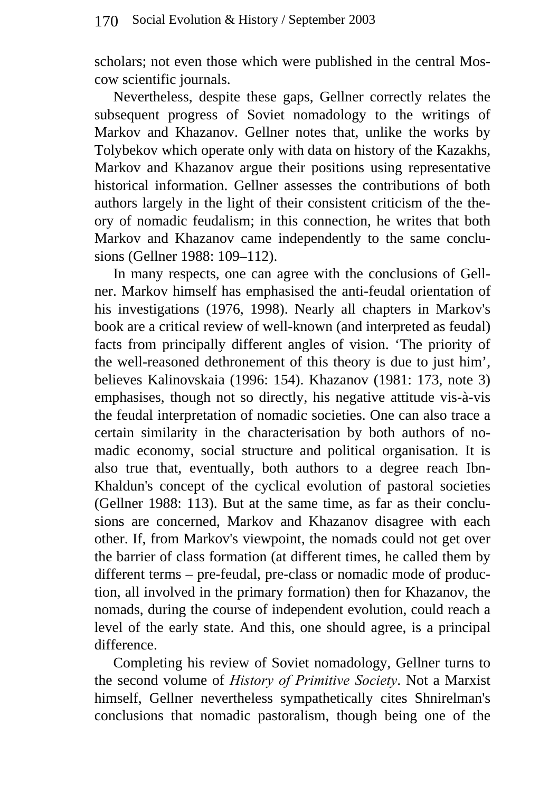scholars; not even those which were published in the central Moscow scientific journals.

Nevertheless, despite these gaps, Gellner correctly relates the subsequent progress of Soviet nomadology to the writings of Markov and Khazanov. Gellner notes that, unlike the works by Tolybekov which operate only with data on history of the Kazakhs, Markov and Khazanov argue their positions using representative historical information. Gellner assesses the contributions of both authors largely in the light of their consistent criticism of the theory of nomadic feudalism; in this connection, he writes that both Markov and Khazanov came independently to the same conclusions (Gellner 1988: 109–112).

In many respects, one can agree with the conclusions of Gellner. Markov himself has emphasised the anti-feudal orientation of his investigations (1976, 1998). Nearly all chapters in Markov's book are a critical review of well-known (and interpreted as feudal) facts from principally different angles of vision. 'The priority of the well-reasoned dethronement of this theory is due to just him', believes Kalinovskaia (1996: 154). Khazanov (1981: 173, note 3) emphasises, though not so directly, his negative attitude vis-à-vis the feudal interpretation of nomadic societies. One can also trace a certain similarity in the characterisation by both authors of nomadic economy, social structure and political organisation. It is also true that, eventually, both authors to a degree reach Ibn-Khaldun's concept of the cyclical evolution of pastoral societies (Gellner 1988: 113). But at the same time, as far as their conclusions are concerned, Markov and Khazanov disagree with each other. If, from Markov's viewpoint, the nomads could not get over the barrier of class formation (at different times, he called them by different terms – pre-feudal, pre-class or nomadic mode of production, all involved in the primary formation) then for Khazanov, the nomads, during the course of independent evolution, could reach a level of the early state. And this, one should agree, is a principal difference.

Completing his review of Soviet nomadology, Gellner turns to the second volume of *History of Primitive Society*. Not a Marxist himself, Gellner nevertheless sympathetically cites Shnirelman's conclusions that nomadic pastoralism, though being one of the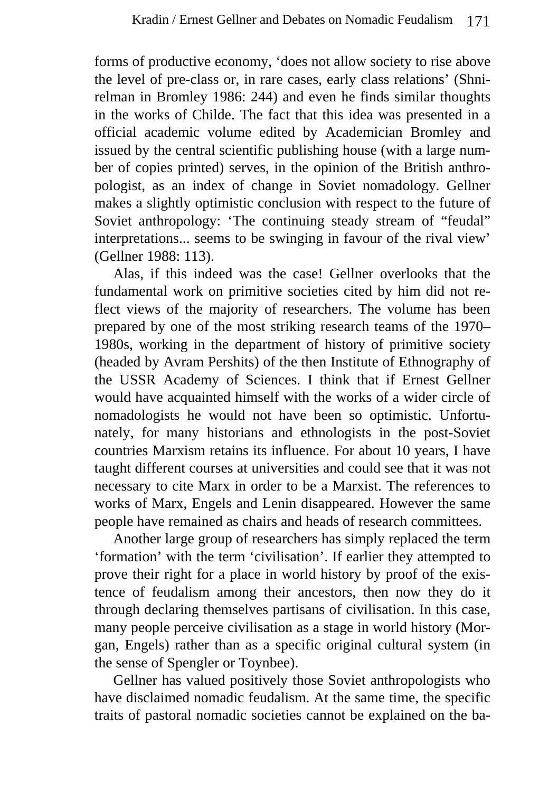forms of productive economy, 'does not allow society to rise above the level of pre-class or, in rare cases, early class relations' (Shnirelman in Bromley 1986: 244) and even he finds similar thoughts in the works of Childe. The fact that this idea was presented in a official academic volume edited by Academician Bromley and issued by the central scientific publishing house (with a large number of copies printed) serves, in the opinion of the British anthropologist, as an index of change in Soviet nomadology. Gellner makes a slightly optimistic conclusion with respect to the future of Soviet anthropology: 'The continuing steady stream of "feudal" interpretations... seems to be swinging in favour of the rival view' (Gellner 1988: 113).

Alas, if this indeed was the case! Gellner overlooks that the fundamental work on primitive societies cited by him did not reflect views of the majority of researchers. The volume has been prepared by one of the most striking research teams of the 1970– 1980s, working in the department of history of primitive society (headed by Avram Pershits) of the then Institute of Ethnography of the USSR Academy of Sciences. I think that if Ernest Gellner would have acquainted himself with the works of a wider circle of nomadologists he would not have been so optimistic. Unfortunately, for many historians and ethnologists in the post-Soviet countries Marxism retains its influence. For about 10 years, I have taught different courses at universities and could see that it was not necessary to cite Marx in order to be a Marxist. The references to works of Marx, Engels and Lenin disappeared. However the same people have remained as chairs and heads of research committees.

Another large group of researchers has simply replaced the term 'formation' with the term 'civilisation'. If earlier they attempted to prove their right for a place in world history by proof of the existence of feudalism among their ancestors, then now they do it through declaring themselves partisans of civilisation. In this case, many people perceive civilisation as a stage in world history (Morgan, Engels) rather than as a specific original cultural system (in the sense of Spengler or Toynbee).

Gellner has valued positively those Soviet anthropologists who have disclaimed nomadic feudalism. At the same time, the specific traits of pastoral nomadic societies cannot be explained on the ba-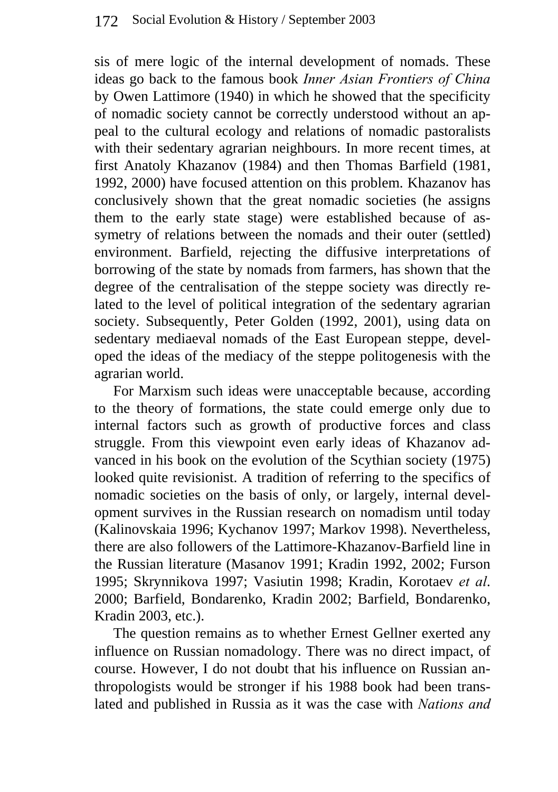sis of mere logic of the internal development of nomads. These ideas go back to the famous book *Inner Asian Frontiers of China* by Owen Lattimore (1940) in which he showed that the specificity of nomadic society cannot be correctly understood without an appeal to the cultural ecology and relations of nomadic pastoralists with their sedentary agrarian neighbours. In more recent times, at first Anatoly Khazanov (1984) and then Thomas Barfield (1981, 1992, 2000) have focused attention on this problem. Khazanov has conclusively shown that the great nomadic societies (he assigns them to the early state stage) were established because of assymetry of relations between the nomads and their outer (settled) environment. Barfield, rejecting the diffusive interpretations of borrowing of the state by nomads from farmers, has shown that the degree of the centralisation of the steppe society was directly related to the level of political integration of the sedentary agrarian society. Subsequently, Peter Golden (1992, 2001), using data on sedentary mediaeval nomads of the East European steppe, developed the ideas of the mediacy of the steppe politogenesis with the agrarian world.

For Marxism such ideas were unacceptable because, according to the theory of formations, the state could emerge only due to internal factors such as growth of productive forces and class struggle. From this viewpoint even early ideas of Khazanov advanced in his book on the evolution of the Scythian society (1975) looked quite revisionist. A tradition of referring to the specifics of nomadic societies on the basis of only, or largely, internal development survives in the Russian research on nomadism until today (Kalinovskaia 1996; Kychanov 1997; Markov 1998). Nevertheless, there are also followers of the Lattimore-Khazanov-Barfield line in the Russian literature (Masanov 1991; Kradin 1992, 2002; Furson 1995; Skrynnikova 1997; Vasiutin 1998; Kradin, Korotaev *et al*. 2000; Barfield, Bondarenko, Kradin 2002; Barfield, Bondarenko, Kradin 2003, etc.).

The question remains as to whether Ernest Gellner exerted any influence on Russian nomadology. There was no direct impact, of course. However, I do not doubt that his influence on Russian anthropologists would be stronger if his 1988 book had been translated and published in Russia as it was the case with *Nations and*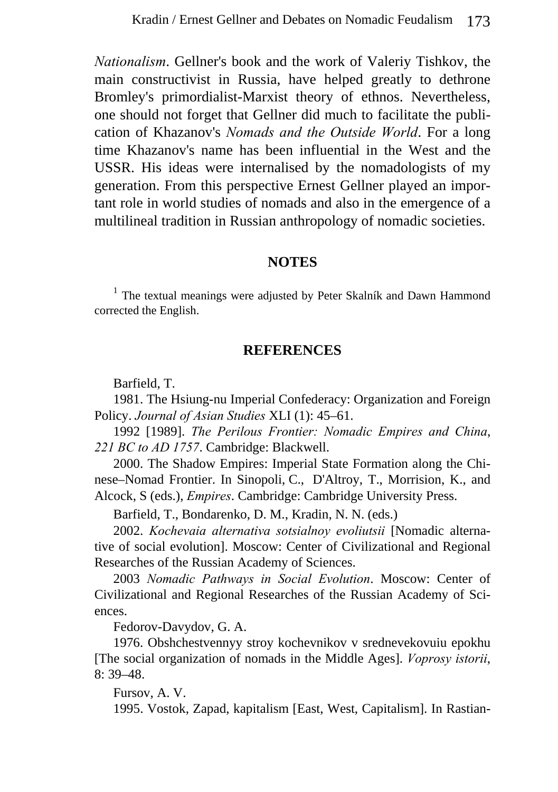*Nationalism*. Gellner's book and the work of Valeriy Tishkov, the main constructivist in Russia, have helped greatly to dethrone Bromley's primordialist-Marxist theory of ethnos. Nevertheless, one should not forget that Gellner did much to facilitate the publication of Khazanov's *Nomads and the Outside World*. For a long time Khazanov's name has been influential in the West and the USSR. His ideas were internalised by the nomadologists of my generation. From this perspective Ernest Gellner played an important role in world studies of nomads and also in the emergence of a multilineal tradition in Russian anthropology of nomadic societies.

#### **NOTES**

<sup>1</sup> The textual meanings were adjusted by Peter Skalník and Dawn Hammond corrected the English.

### **REFERENCES**

Barfield, T.

1981. The Hsiung-nu Imperial Confederacy: Organization and Foreign Policy. *Journal of Asian Studies* XLI (1): 45–61.

1992 [1989]. *The Perilous Frontier: Nomadic Empires and China*, *221 BC to AD 1757*. Cambridge: Blackwell.

2000. The Shadow Empires: Imperial State Formation along the Chinese–Nomad Frontier. In Sinopoli, C., D'Altroy, T., Morrision, K., and Alcock, S (eds.), *Empires*. Cambridge: Cambridge University Press.

Barfield, T., Bondarenko, D. M., Kradin, N. N. (eds.)

2002. *Kochevaia alternativa sotsialnoy evoliutsii* [Nomadic alternative of social evolution]. Moscow: Center of Civilizational and Regional Researches of the Russian Academy of Sciences.

2003 *Nomadic Pathways in Social Evolution*. Moscow: Center of Civilizational and Regional Researches of the Russian Academy of Sciences.

Fedorov-Davydov, G. A.

1976. Obshchestvennyy stroy kochevnikov v srednevekovuiu epokhu [The social organization of nomads in the Middle Ages]. *Voprosy istorii*, 8: 39–48.

Fursov, A. V.

1995. Vostok, Zapad, kapitalism [East, West, Capitalism]. In Rastian-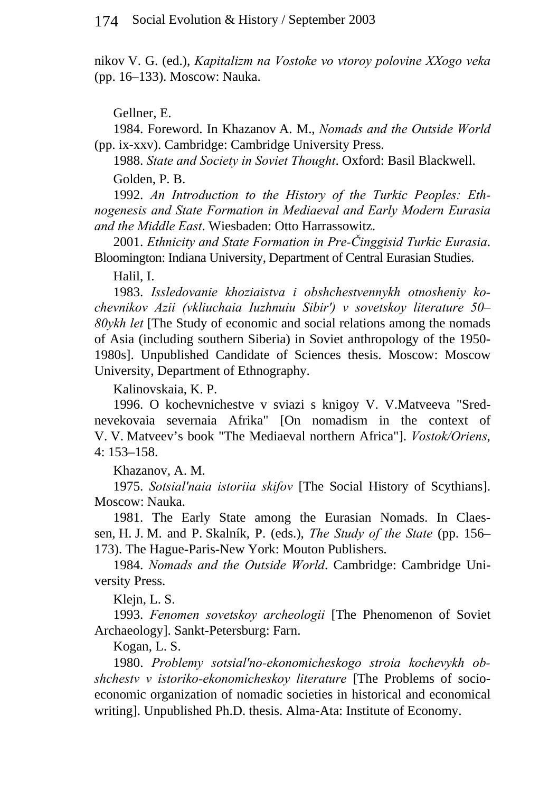nikov V. G. (ed.), *Kapitalizm na Vostoke vo vtoroy polovine XXogo veka* (pp. 16–133). Moscow: Nauka.

Gellner, E.

1984. Foreword. In Khazanov A. M., *Nomads and the Outside World* (pp. ix-xxv). Cambridge: Cambridge University Press.

1988. *State and Society in Soviet Thought*. Oxford: Basil Blackwell.

Golden, P. B.

1992. *An Introduction to the History of the Turkic Peoples: Ethnogenesis and State Formation in Mediaeval and Early Modern Eurasia and the Middle East*. Wiesbaden: Otto Harrassowitz.

2001. *Ethnicity and State Formation in Pre-Činggisid Turkic Eurasia*. Bloomington: Indiana University, Department of Central Eurasian Studies.

Halil, I.

1983. *Issledovanie khoziaistva i obshchestvennykh otnosheniy kochevnikov Azii (vkliuchaia Iuzhnuiu Sibir') v sovetskoy literature 50– 80ykh let* [The Study of economic and social relations among the nomads of Asia (including southern Siberia) in Soviet anthropology of the 1950- 1980s]. Unpublished Candidate of Sciences thesis. Moscow: Moscow University, Department of Ethnography.

Kalinovskaia, K. P.

1996. O kochevnichestve v sviazi s knigoy V. V.Matveeva "Srednevekovaia severnaia Afrika" [On nomadism in the context of V. V. Matveev's book "The Mediaeval northern Africa"]. *Vostok/Oriens*, 4: 153–158.

Khazanov, A. M.

1975. *Sotsial'naia istoriia skifov* [The Social History of Scythians]. Moscow: Nauka.

1981. The Early State among the Eurasian Nomads. In Claessen, H. J. M. and P. Skalník, P. (eds.), *The Study of the State* (pp. 156– 173). The Hague-Paris-New York: Mouton Publishers.

1984. *Nomads and the Outside World*. Cambridge: Cambridge University Press.

Klejn, L. S.

1993. *Fenomen sovetskoy archeologii* [The Phenomenon of Soviet Archaeology]. Sankt-Petersburg: Farn.

Kogan, L. S.

1980. *Problemy sotsial'no-ekonomicheskogo stroia kochevykh obshchestv v istoriko-ekonomicheskoy literature* [The Problems of socioeconomic organization of nomadic societies in historical and economical writing]. Unpublished Ph.D. thesis. Alma-Ata: Institute of Economy.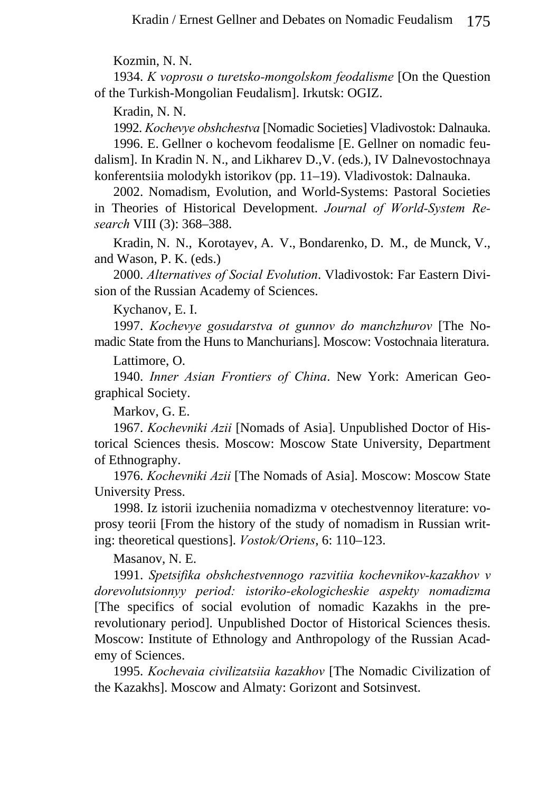Kozmin, N. N.

1934. *K voprosu o turetsko-mongolskom feodalisme* [On the Question of the Turkish-Mongolian Feudalism]. Irkutsk: OGIZ.

Kradin, N. N.

1992. *Kochevye obshchestva* [Nomadic Societies] Vladivostok: Dalnauka.

1996. E. Gellner o kochevom feodalisme [E. Gellner on nomadic feudalism]. In Kradin N. N., and Likharev D.,V. (eds.), IV Dalnevostochnaya konferentsiia molodykh istorikov (pp. 11–19). Vladivostok: Dalnauka.

2002. Nomadism, Evolution, and World-Systems: Pastoral Societies in Theories of Historical Development. *Journal of World-System Research* VIII (3): 368–388.

Kradin, N. N., Korotayev, A. V., Bondarenko, D. M., de Munck, V., and Wason, P. K. (eds.)

2000. *Alternatives of Social Evolution*. Vladivostok: Far Eastern Division of the Russian Academy of Sciences.

Kychanov, E. I.

1997. *Kochevye gosudarstva ot gunnov do manchzhurov* [The Nomadic State from the Huns to Manchurians]. Moscow: Vostochnaia literatura.

Lattimore, O.

1940. *Inner Asian Frontiers of China*. New York: American Geographical Society.

Markov, G. E.

1967. *Kochevniki Azii* [Nomads of Asia]. Unpublished Doctor of Historical Sciences thesis. Moscow: Moscow State University, Department of Ethnography.

1976. *Kochevniki Azii* [The Nomads of Asia]. Moscow: Moscow State University Press.

1998. Iz istorii izucheniia nomadizma v otechestvennoy literature: voprosy teorii [From the history of the study of nomadism in Russian writing: theoretical questions]. *Vostok/Oriens*, 6: 110–123.

Masanov, N. E.

1991. *Spetsifika obshchestvennogo razvitiia kochevnikov-kazakhov v dorevolutsionnyy period: istoriko-ekologicheskie aspekty nomadizma* [The specifics of social evolution of nomadic Kazakhs in the prerevolutionary period]. Unpublished Doctor of Historical Sciences thesis. Moscow: Institute of Ethnology and Anthropology of the Russian Academy of Sciences.

1995. *Kochevaia civilizatsiia kazakhov* [The Nomadic Civilization of the Kazakhs]. Moscow and Almaty: Gorizont and Sotsinvest.